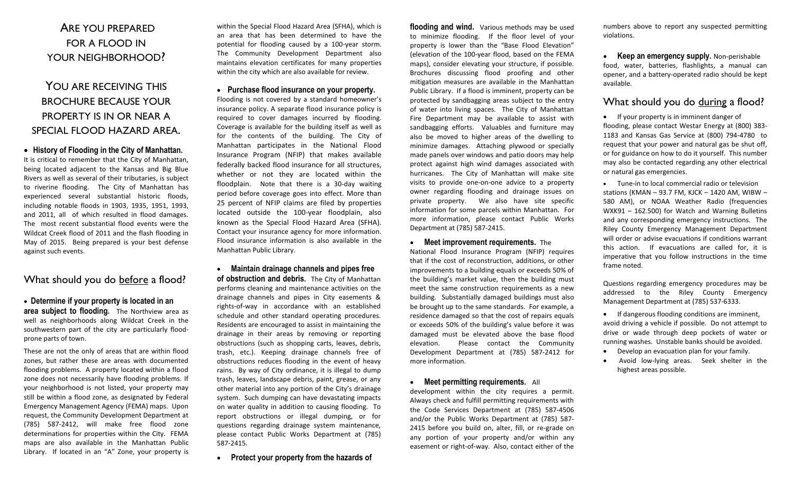# ARE YOU PREPARED FOR A FLOOD IN YOUR NEIGHBORHOOD?

# YOU ARE RECEIVING THIS BROCHURE BECAUSE YOUR PROPERTY IS IN OR NEAR A SPECIAL FLOOD HAZARD AREA.

 **History of Flooding in the City of Manhattan.**  It is critical to remember that the City of Manhattan, being located adjacent to the Kansas and Big Blue Rivers as well as several of their tributaries, is subject to riverine flooding. The City of Manhattan has experienced several substantial historic floods, including notable floods in 1903, 1935, 1951, 1993, and 2011, all of which resulted in flood damages. The most recent substantial flood events were the Wildcat Creek flood of 2011 and the flash flooding in May of 2015. Being prepared is your best defense against such events.

## What should you do before a flood?

### **Determine if your property is located in an area subject to flooding.** The Northview area as well as neighborhoods along Wildcat Creek in the southwestern part of the city are particularly floodprone parts of town.

These are not the only of areas that are within flood zones, but rather these are areas with documented flooding problems. A property located within a flood zone does not necessarily have flooding problems. If your neighborhood is not listed, your property may still be within a flood zone, as designated by Federal Emergency Management Agency (FEMA) maps. Upon request, the Community Development Department at (785) 587-2412, will make free flood zone determinations for properties within the City. FEMA maps are also available in the Manhattan Public Library. If located in an "A" Zone, your property is

within the Special Flood Hazard Area (SFHA), which is an area that has been determined to have the potential for flooding caused by a 100-year storm. The Community Development Department also maintains elevation certificates for many properties within the city which are also available for review.

**Purchase flood insurance on your property.**

Flooding is not covered by a standard homeowner's insurance policy. A separate flood insurance policy is required to cover damages incurred by flooding. Coverage is available for the building itself as well as for the contents of the building. The City of Manhattan participates in the National Flood Insurance Program (NFIP) that makes available federally backed flood insurance for all structures, whether or not they are located within the floodplain. Note that there is a 30-day waiting period before coverage goes into effect. More than 25 percent of NFIP claims are filed by properties located outside the 100-year floodplain, also known as the Special Flood Hazard Area (SFHA). Contact your insurance agency for more information. Flood insurance information is also available in the Manhattan Public Library.

 **Maintain drainage channels and pipes free of obstruction and debris.** The City of Manhattan performs cleaning and maintenance activities on the drainage channels and pipes in City easements & rights-of-way in accordance with an established schedule and other standard operating procedures. Residents are encouraged to assist in maintaining the drainage in their areas by removing or reporting obstructions (such as shopping carts, leaves, debris, trash, etc.). Keeping drainage channels free of obstructions reduces flooding in the event of heavy rains. By way of City ordinance, it is illegal to dump trash, leaves, landscape debris, paint, grease, or any other material into any portion of the City's drainage system. Such dumping can have devastating impacts on water quality in addition to causing flooding. To report obstructions or illegal dumping, or for questions regarding drainage system maintenance, please contact Public Works Department at (785) 587-2415.

**Protect your property from the hazards of**

**flooding and wind.** Various methods may be used to minimize flooding. If the floor level of your property is lower than the "Base Flood Elevation" (elevation of the 100-year flood, based on the FEMA maps), consider elevating your structure, if possible. Brochures discussing flood proofing and other mitigation measures are available in the Manhattan Public Library. If a flood is imminent, property can be protected by sandbagging areas subject to the entry of water into living spaces. The City of Manhattan Fire Department may be available to assist with sandbagging efforts. Valuables and furniture may also be moved to higher areas of the dwelling to minimize damages. Attaching plywood or specially made panels over windows and patio doors may help protect against high wind damages associated with hurricanes. The City of Manhattan will make site visits to provide one-on-one advice to a property owner regarding flooding and drainage issues on private property. We also have site specific information for some parcels within Manhattan. For more information, please contact Public Works Department at (785) 587-2415.

### **•** Meet improvement requirements. The

National Flood Insurance Program (NFIP) requires that if the cost of reconstruction, additions, or other improvements to a building equals or exceeds 50% of the building's market value, then the building must meet the same construction requirements as a new building. Substantially damaged buildings must also be brought up to the same standards. For example, a residence damaged so that the cost of repairs equals or exceeds 50% of the building's value before it was damaged must be elevated above the base flood elevation. Please contact the Community Development Department at (785) 587-2412 for more information.

#### **Meet permitting requirements.** All

development within the city requires a permit. Always check and fulfill permitting requirements with the Code Services Department at (785) 587-4506 and/or the Public Works Department at (785) 587- 2415 before you build on, alter, fill, or re-grade on any portion of your property and/or within any easement or right-of-way. Also, contact either of the numbers above to report any suspected permitting violations.

**Keep an emergency supply.** Non-perishable food, water, batteries, flashlights, a manual can opener, and a battery-operated radio should be kept available.

## What should you do during a flood?

• If your property is in imminent danger of flooding, please contact Westar Energy at (800) 383- 1183 and Kansas Gas Service at (800) 794-4780 to request that your power and natural gas be shut off, or for guidance on how to do it yourself. This number may also be contacted regarding any other electrical or natural gas emergencies.

 Tune-in to local commercial radio or television stations (KMAN – 93.7 FM, KJCK – 1420 AM, WIBW – 580 AM), or NOAA Weather Radio (frequencies WXK91 – 162.500) for Watch and Warning Bulletins and any corresponding emergency instructions. The Riley County Emergency Management Department will order or advise evacuations if conditions warrant this action. If evacuations are called for, it is imperative that you follow instructions in the time frame noted.

Questions regarding emergency procedures may be addressed to the Riley County Emergency Management Department at (785) 537-6333.

 If dangerous flooding conditions are imminent, avoid driving a vehicle if possible. Do not attempt to drive or wade through deep pockets of water or running washes. Unstable banks should be avoided.

- Develop an evacuation plan for your family.
- Avoid low-lying areas. Seek shelter in the highest areas possible.